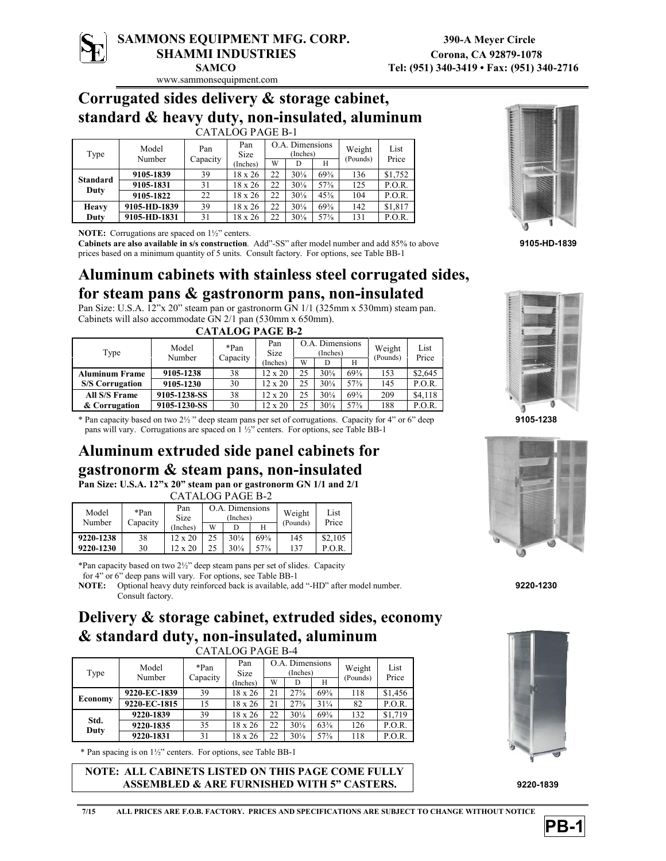

## **SAMMONS EQUIPMENT MFG. CORP. 390-A Meyer Circle** SHAMMI INDUSTRIES Corona, CA 92879-1078

www.sammonsequipment.com

### **Corrugated sides delivery & storage cabinet, standard & heavy duty, non-insulated, aluminum**

#### CATALOG PAGE B-1

| Type                    | Model<br>Number | Pan<br>Capacity | Pan<br>Size    |    | O.A. Dimensions<br>(Inches) |                 | Weight<br>(Pounds) | List<br>Price |
|-------------------------|-----------------|-----------------|----------------|----|-----------------------------|-----------------|--------------------|---------------|
|                         |                 |                 | (Inches)       | W  |                             | Н               |                    |               |
|                         | 9105-1839       | 39              | 18 x 26        | 22 | $30\frac{1}{8}$             | $69\frac{3}{8}$ | 136                | \$1,752       |
| <b>Standard</b><br>Duty | 9105-1831       | 31              | 18 x 26        | 22 | $30\frac{1}{8}$             | $57\frac{3}{8}$ | 125                | P.O.R.        |
|                         | 9105-1822       | 22              | $18 \times 26$ | 22 | $30\frac{1}{8}$             | $45\frac{3}{8}$ | 104                | P.O.R.        |
| <b>Heavy</b>            | 9105-HD-1839    | 39              | $18 \times 26$ | 22 | $30\frac{1}{8}$             | $69\frac{3}{8}$ | 142                | \$1,817       |
| Duty                    | 9105-HD-1831    | 31              | 18 x 26        | 22 | $30\frac{1}{8}$             | $57\frac{3}{8}$ | 131                | P.O.R.        |

**NOTE:** Corrugations are spaced on  $1\frac{1}{2}$ " centers.

**Cabinets are also available in s/s construction**. Add"-SS" after model number and add 85% to above **9105-HD-1839** prices based on a minimum quantity of 5 units. Consult factory. For options, see Table BB-1

### **Aluminum cabinets with stainless steel corrugated sides, for steam pans & gastronorm pans, non-insulated**

Pan Size: U.S.A. 12"x 20" steam pan or gastronorm GN 1/1 (325mm x 530mm) steam pan. Cabinets will also accommodate GN 2/1 pan (530mm x 650mm).  $CATELIOBLOE$ 

|      | CATALUG PAGE B-4       |                 |          |                    |                             |                 |                 |          |               |  |  |
|------|------------------------|-----------------|----------|--------------------|-----------------------------|-----------------|-----------------|----------|---------------|--|--|
| Type |                        | Model<br>Number | *Pan     | Pan<br><b>Size</b> | O.A. Dimensions<br>(Inches) |                 |                 | Weight   | List<br>Price |  |  |
|      |                        |                 | Capacity | (Inches)           | W                           | D               |                 | (Pounds) |               |  |  |
|      | <b>Aluminum Frame</b>  | 9105-1238       | 38       | $12 \times 20$     | 25                          | $30\frac{1}{8}$ | $69\frac{3}{8}$ | 153      | \$2,645       |  |  |
|      | <b>S/S Corrugation</b> | 9105-1230       | 30       | $12 \times 20$     | 25                          | $30\frac{1}{8}$ | $57\frac{3}{8}$ | 145      | P.O.R.        |  |  |
|      | All S/S Frame          | 9105-1238-SS    | 38       | 12 x 20            | 25                          | $30\frac{1}{8}$ | $69\frac{3}{8}$ | 209      | \$4,118       |  |  |
|      | & Corrugation          | 9105-1230-SS    | 30       | $12 \times 20$     | 25                          | $30\frac{1}{8}$ | $57\frac{3}{8}$ | 188      | P.O.R.        |  |  |

\* Pan capacity based on two 2½ " deep steam pans per set of corrugations. Capacity for 4" or 6" deep **9105-1238** pans will vary. Corrugations are spaced on 1 ½" centers. For options, see Table BB-1

## **Aluminum extruded side panel cabinets for gastronorm & steam pans, non-insulated**

**Pan Size: U.S.A. 12"x 20" steam pan or gastronorm GN 1/1 and 2/1** CATALOG PAGE B-2

| Model<br>Number | *Pan<br>Capacity | Pan<br>Size    |   | O.A. Dimensions<br>(Inches) |                 | Weight   | List<br>Price |
|-----------------|------------------|----------------|---|-----------------------------|-----------------|----------|---------------|
|                 |                  | (Inches)       | W |                             |                 | (Pounds) |               |
| 9220-1238       | 38               | $12 \times 20$ |   | $30\frac{1}{8}$             | $69\frac{3}{8}$ | 145      | \$2,105       |
| 9220-1230       | 30               | 12x            |   | $30\frac{1}{8}$             | $57\frac{3}{8}$ | 137      | P.O.R         |

\*Pan capacity based on two 2½" deep steam pans per set of slides. Capacity

for 4" or 6" deep pans will vary. For options, see Table BB-1

**NOTE:** Optional heavy duty reinforced back is available, add "-HD" after model number. **9220-1230** Consult factory.

# **Delivery & storage cabinet, extruded sides, economy & standard duty, non-insulated, aluminum**

| TALOG PAGE B-4 |
|----------------|
|----------------|

| <b>CATALOG PAGE B-4</b> |                 |          |                    |                             |                 |                 |                    |               |
|-------------------------|-----------------|----------|--------------------|-----------------------------|-----------------|-----------------|--------------------|---------------|
| Type                    | Model<br>Number | *Pan     | Pan<br><b>Size</b> | O.A. Dimensions<br>(Inches) |                 |                 | Weight<br>(Pounds) | List<br>Price |
|                         |                 | Capacity | Inches)            | W                           |                 | Н               |                    |               |
| Economy                 | 9220-EC-1839    | 39       | 18 x 26            | 21                          | $27\frac{5}{8}$ | $69\frac{3}{8}$ | 118                | \$1,456       |
|                         | 9220-EC-1815    | 15       | $18 \times 26$     | 21                          | $27\frac{5}{8}$ | $31\frac{1}{4}$ | 82                 | P.O.R.        |
| Std.<br>Duty            | 9220-1839       | 39       | $18 \times 26$     | 22                          | $30\frac{1}{8}$ | $69\frac{3}{8}$ | 132                | \$1,719       |
|                         | 9220-1835       | 35       | $18 \times 26$     | 22                          | $30\frac{1}{8}$ | $63\frac{3}{8}$ | 126                | P.O.R.        |
|                         | 9220-1831       | 31       | 18 x 26            | 22                          | $30\frac{1}{8}$ | $57\frac{3}{8}$ | 118                | P.O.R.        |

\* Pan spacing is on 1½" centers. For options, see Table BB-1

**NOTE: ALL CABINETS LISTED ON THIS PAGE COME FULLY ASSEMBLED & ARE FURNISHED WITH 5" CASTERS. 9220-1839**